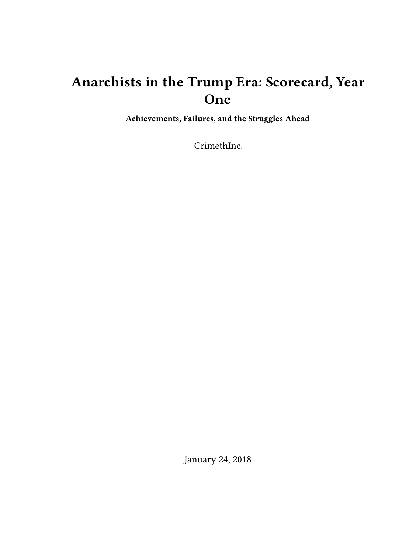# **Anarchists in the Trump Era: Scorecard, Year One**

**Achievements, Failures, and the Struggles Ahead**

CrimethInc.

January 24, 2018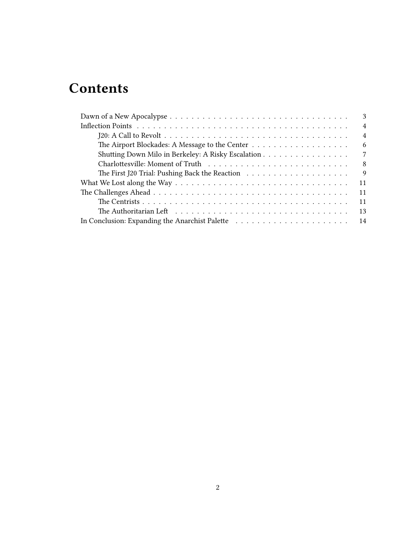# **Contents**

| 3                                                                                                                |
|------------------------------------------------------------------------------------------------------------------|
| $\overline{4}$                                                                                                   |
| $\overline{4}$                                                                                                   |
| 6                                                                                                                |
| Shutting Down Milo in Berkeley: A Risky Escalation<br>7                                                          |
| 8                                                                                                                |
| 9                                                                                                                |
| 11                                                                                                               |
| 11                                                                                                               |
| The Centrists $\ldots \ldots \ldots \ldots \ldots \ldots \ldots \ldots \ldots \ldots \ldots \ldots \ldots$<br>11 |
| The Authoritarian Left $\dots \dots \dots \dots \dots \dots \dots \dots \dots \dots \dots \dots$<br>13           |
| 14                                                                                                               |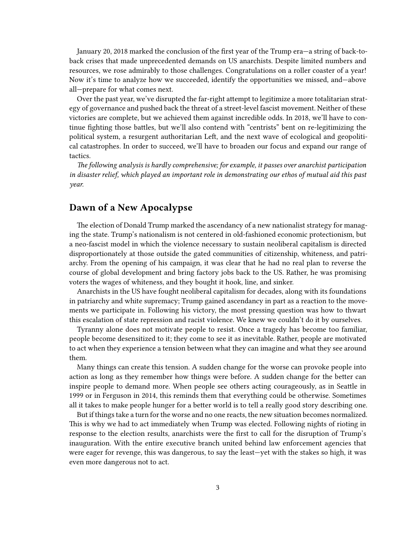January 20, 2018 marked the conclusion of the first year of the Trump era—a string of back-toback crises that made unprecedented demands on US anarchists. Despite limited numbers and resources, we rose admirably to those challenges. Congratulations on a roller coaster of a year! Now it's time to analyze how we succeeded, identify the opportunities we missed, and—above all—prepare for what comes next.

Over the past year, we've disrupted the far-right attempt to legitimize a more totalitarian strategy of governance and pushed back the threat of a street-level fascist movement. Neither of these victories are complete, but we achieved them against incredible odds. In 2018, we'll have to continue fighting those battles, but we'll also contend with "centrists" bent on re-legitimizing the political system, a resurgent authoritarian Left, and the next wave of ecological and geopolitical catastrophes. In order to succeed, we'll have to broaden our focus and expand our range of tactics.

*The following analysis is hardly comprehensive; for example, it passes over anarchist participation in disaster relief, which played an important role in demonstrating our ethos of mutual aid this past year.*

## <span id="page-2-0"></span>**Dawn of a New Apocalypse**

The election of Donald Trump marked the ascendancy of a new nationalist strategy for managing the state. Trump's nationalism is not centered in old-fashioned economic protectionism, but a neo-fascist model in which the violence necessary to sustain neoliberal capitalism is directed disproportionately at those outside the gated communities of citizenship, whiteness, and patriarchy. From the opening of his campaign, it was clear that he had no real plan to reverse the course of global development and bring factory jobs back to the US. Rather, he was promising voters the wages of whiteness, and they bought it hook, line, and sinker.

Anarchists in the US have fought neoliberal capitalism for decades, along with its foundations in patriarchy and white supremacy; Trump gained ascendancy in part as a reaction to the movements we participate in. Following his victory, the most pressing question was how to thwart this escalation of state repression and racist violence. We knew we couldn't do it by ourselves.

Tyranny alone does not motivate people to resist. Once a tragedy has become too familiar, people become desensitized to it; they come to see it as inevitable. Rather, people are motivated to act when they experience a tension between what they can imagine and what they see around them.

Many things can create this tension. A sudden change for the worse can provoke people into action as long as they remember how things were before. A sudden change for the better can inspire people to demand more. When people see others acting courageously, as in Seattle in 1999 or in Ferguson in 2014, this reminds them that everything could be otherwise. Sometimes all it takes to make people hunger for a better world is to tell a really good story describing one.

But if things take a turn for the worse and no one reacts, the new situation becomes normalized. This is why we had to act immediately when Trump was elected. Following nights of rioting in response to the election results, anarchists were the first to call for the disruption of Trump's inauguration. With the entire executive branch united behind law enforcement agencies that were eager for revenge, this was dangerous, to say the least—yet with the stakes so high, it was even more dangerous not to act.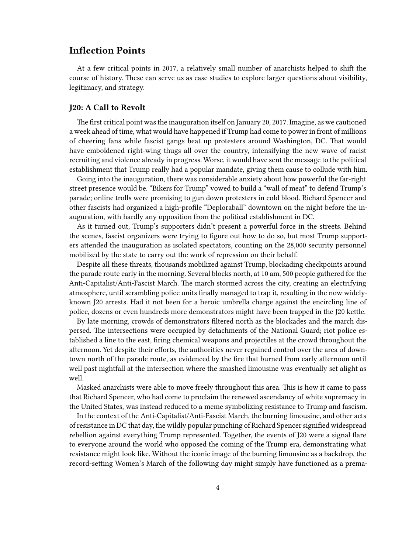## <span id="page-3-0"></span>**Inflection Points**

At a few critical points in 2017, a relatively small number of anarchists helped to shift the course of history. These can serve us as case studies to explore larger questions about visibility, legitimacy, and strategy.

#### <span id="page-3-1"></span>**J20: A Call to Revolt**

The first critical point was the inauguration itself on January 20, 2017. Imagine, as we cautioned a week ahead of time, what would have happened if Trump had come to power in front of millions of cheering fans while fascist gangs beat up protesters around Washington, DC. That would have emboldened right-wing thugs all over the country, intensifying the new wave of racist recruiting and violence already in progress. Worse, it would have sent the message to the political establishment that Trump really had a popular mandate, giving them cause to collude with him.

Going into the inauguration, there was considerable anxiety about how powerful the far-right street presence would be. "Bikers for Trump" vowed to build a "wall of meat" to defend Trump's parade; online trolls were promising to gun down protesters in cold blood. Richard Spencer and other fascists had organized a high-profile "Deploraball" downtown on the night before the inauguration, with hardly any opposition from the political establishment in DC.

As it turned out, Trump's supporters didn't present a powerful force in the streets. Behind the scenes, fascist organizers were trying to figure out how to do so, but most Trump supporters attended the inauguration as isolated spectators, counting on the 28,000 security personnel mobilized by the state to carry out the work of repression on their behalf.

Despite all these threats, thousands mobilized against Trump, blockading checkpoints around the parade route early in the morning. Several blocks north, at 10 am, 500 people gathered for the Anti-Capitalist/Anti-Fascist March. The march stormed across the city, creating an electrifying atmosphere, until scrambling police units finally managed to trap it, resulting in the now widelyknown J20 arrests. Had it not been for a heroic umbrella charge against the encircling line of police, dozens or even hundreds more demonstrators might have been trapped in the J20 kettle.

By late morning, crowds of demonstrators filtered north as the blockades and the march dispersed. The intersections were occupied by detachments of the National Guard; riot police established a line to the east, firing chemical weapons and projectiles at the crowd throughout the afternoon. Yet despite their efforts, the authorities never regained control over the area of downtown north of the parade route, as evidenced by the fire that burned from early afternoon until well past nightfall at the intersection where the smashed limousine was eventually set alight as well.

Masked anarchists were able to move freely throughout this area. This is how it came to pass that Richard Spencer, who had come to proclaim the renewed ascendancy of white supremacy in the United States, was instead reduced to a meme symbolizing resistance to Trump and fascism.

In the context of the Anti-Capitalist/Anti-Fascist March, the burning limousine, and other acts of resistance in DC that day, the wildly popular punching of Richard Spencer signified widespread rebellion against everything Trump represented. Together, the events of J20 were a signal flare to everyone around the world who opposed the coming of the Trump era, demonstrating what resistance might look like. Without the iconic image of the burning limousine as a backdrop, the record-setting Women's March of the following day might simply have functioned as a prema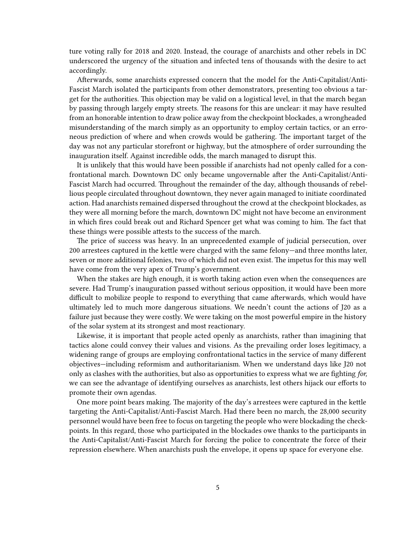ture voting rally for 2018 and 2020. Instead, the courage of anarchists and other rebels in DC underscored the urgency of the situation and infected tens of thousands with the desire to act accordingly.

Afterwards, some anarchists expressed concern that the model for the Anti-Capitalist/Anti-Fascist March isolated the participants from other demonstrators, presenting too obvious a target for the authorities. This objection may be valid on a logistical level, in that the march began by passing through largely empty streets. The reasons for this are unclear: it may have resulted from an honorable intention to draw police away from the checkpoint blockades, a wrongheaded misunderstanding of the march simply as an opportunity to employ certain tactics, or an erroneous prediction of where and when crowds would be gathering. The important target of the day was not any particular storefront or highway, but the atmosphere of order surrounding the inauguration itself. Against incredible odds, the march managed to disrupt this.

It is unlikely that this would have been possible if anarchists had not openly called for a confrontational march. Downtown DC only became ungovernable after the Anti-Capitalist/Anti-Fascist March had occurred. Throughout the remainder of the day, although thousands of rebellious people circulated throughout downtown, they never again managed to initiate coordinated action. Had anarchists remained dispersed throughout the crowd at the checkpoint blockades, as they were all morning before the march, downtown DC might not have become an environment in which fires could break out and Richard Spencer get what was coming to him. The fact that these things were possible attests to the success of the march.

The price of success was heavy. In an unprecedented example of judicial persecution, over 200 arrestees captured in the kettle were charged with the same felony—and three months later, seven or more additional felonies, two of which did not even exist. The impetus for this may well have come from the very apex of Trump's government.

When the stakes are high enough, it is worth taking action even when the consequences are severe. Had Trump's inauguration passed without serious opposition, it would have been more difficult to mobilize people to respond to everything that came afterwards, which would have ultimately led to much more dangerous situations. We needn't count the actions of J20 as a failure just because they were costly. We were taking on the most powerful empire in the history of the solar system at its strongest and most reactionary.

Likewise, it is important that people acted openly as anarchists, rather than imagining that tactics alone could convey their values and visions. As the prevailing order loses legitimacy, a widening range of groups are employing confrontational tactics in the service of many different objectives—including reformism and authoritarianism. When we understand days like J20 not only as clashes with the authorities, but also as opportunities to express what we are fighting *for,* we can see the advantage of identifying ourselves as anarchists, lest others hijack our efforts to promote their own agendas.

One more point bears making. The majority of the day's arrestees were captured in the kettle targeting the Anti-Capitalist/Anti-Fascist March. Had there been no march, the 28,000 security personnel would have been free to focus on targeting the people who were blockading the checkpoints. In this regard, those who participated in the blockades owe thanks to the participants in the Anti-Capitalist/Anti-Fascist March for forcing the police to concentrate the force of their repression elsewhere. When anarchists push the envelope, it opens up space for everyone else.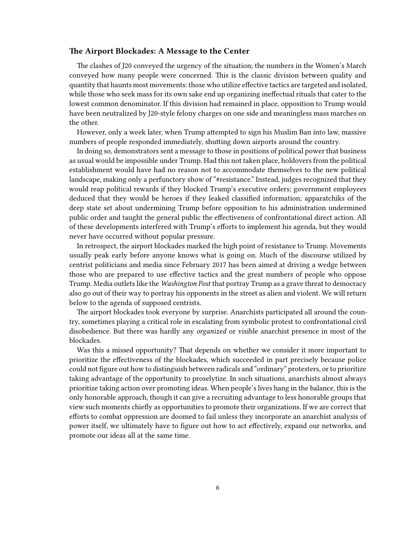#### <span id="page-5-0"></span>**The Airport Blockades: A Message to the Center**

The clashes of J20 conveyed the urgency of the situation; the numbers in the Women's March conveyed how many people were concerned. This is the classic division between quality and quantity that haunts most movements: those who utilize effective tactics are targeted and isolated, while those who seek mass for its own sake end up organizing ineffectual rituals that cater to the lowest common denominator. If this division had remained in place, opposition to Trump would have been neutralized by J20-style felony charges on one side and meaningless mass marches on the other.

However, only a week later, when Trump attempted to sign his Muslim Ban into law, massive numbers of people responded immediately, shutting down airports around the country.

In doing so, demonstrators sent a message to those in positions of political power that business as usual would be impossible under Trump. Had this not taken place, holdovers from the political establishment would have had no reason not to accommodate themselves to the new political landscape, making only a perfunctory show of "#resistance." Instead, judges recognized that they would reap political rewards if they blocked Trump's executive orders; government employees deduced that they would be heroes if they leaked classified information; apparatchiks of the deep state set about undermining Trump before opposition to his administration undermined public order and taught the general public the effectiveness of confrontational direct action. All of these developments interfered with Trump's efforts to implement his agenda, but they would never have occurred without popular pressure.

In retrospect, the airport blockades marked the high point of resistance to Trump. Movements usually peak early before anyone knows what is going on. Much of the discourse utilized by centrist politicians and media since February 2017 has been aimed at driving a wedge between those who are prepared to use effective tactics and the great numbers of people who oppose Trump. Media outlets like the *Washington Post* that portray Trump as a grave threat to democracy also go out of their way to portray his opponents in the street as alien and violent. We will return below to the agenda of supposed centrists.

The airport blockades took everyone by surprise. Anarchists participated all around the country, sometimes playing a critical role in escalating from symbolic protest to confrontational civil disobedience. But there was hardly any *organized* or visible anarchist presence in most of the blockades.

Was this a missed opportunity? That depends on whether we consider it more important to prioritize the effectiveness of the blockades, which succeeded in part precisely because police could not figure out how to distinguish between radicals and "ordinary" protesters, or to prioritize taking advantage of the opportunity to proselytize. In such situations, anarchists almost always prioritize taking action over promoting ideas. When people's lives hang in the balance, this is the only honorable approach, though it can give a recruiting advantage to less honorable groups that view such moments chiefly as opportunities to promote their organizations. If we are correct that efforts to combat oppression are doomed to fail unless they incorporate an anarchist analysis of power itself, we ultimately have to figure out how to act effectively, expand our networks, and promote our ideas all at the same time.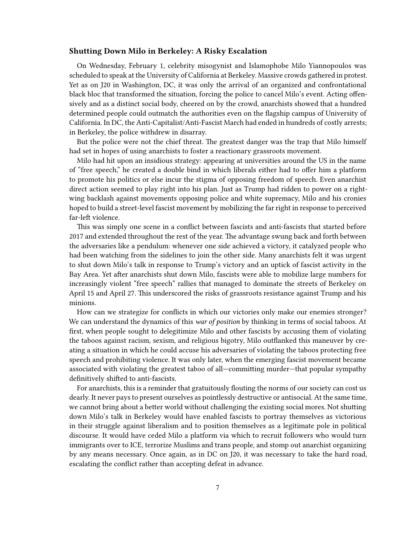#### <span id="page-6-0"></span>**Shutting Down Milo in Berkeley: A Risky Escalation**

On Wednesday, February 1, celebrity misogynist and Islamophobe Milo Yiannopoulos was scheduled to speak at the University of California at Berkeley. Massive crowds gathered in protest. Yet as on J20 in Washington, DC, it was only the arrival of an organized and confrontational black bloc that transformed the situation, forcing the police to cancel Milo's event. Acting offensively and as a distinct social body, cheered on by the crowd, anarchists showed that a hundred determined people could outmatch the authorities even on the flagship campus of University of California. In DC, the Anti-Capitalist/Anti-Fascist March had ended in hundreds of costly arrests; in Berkeley, the police withdrew in disarray.

But the police were not the chief threat. The greatest danger was the trap that Milo himself had set in hopes of using anarchists to foster a reactionary grassroots movement.

Milo had hit upon an insidious strategy: appearing at universities around the US in the name of "free speech," he created a double bind in which liberals either had to offer him a platform to promote his politics or else incur the stigma of opposing freedom of speech. Even anarchist direct action seemed to play right into his plan. Just as Trump had ridden to power on a rightwing backlash against movements opposing police and white supremacy, Milo and his cronies hoped to build a street-level fascist movement by mobilizing the far right in response to perceived far-left violence.

This was simply one scene in a conflict between fascists and anti-fascists that started before 2017 and extended throughout the rest of the year. The advantage swung back and forth between the adversaries like a pendulum: whenever one side achieved a victory, it catalyzed people who had been watching from the sidelines to join the other side. Many anarchists felt it was urgent to shut down Milo's talk in response to Trump's victory and an uptick of fascist activity in the Bay Area. Yet after anarchists shut down Milo, fascists were able to mobilize large numbers for increasingly violent "free speech" rallies that managed to dominate the streets of Berkeley on April 15 and April 27. This underscored the risks of grassroots resistance against Trump and his minions.

How can we strategize for conflicts in which our victories only make our enemies stronger? We can understand the dynamics of this *war of position* by thinking in terms of social taboos. At first, when people sought to delegitimize Milo and other fascists by accusing them of violating the taboos against racism, sexism, and religious bigotry, Milo outflanked this maneuver by creating a situation in which he could accuse his adversaries of violating the taboos protecting free speech and prohibiting violence. It was only later, when the emerging fascist movement became associated with violating the greatest taboo of all—committing murder—that popular sympathy definitively shifted to anti-fascists.

For anarchists, this is a reminder that gratuitously flouting the norms of our society can cost us dearly. It never pays to present ourselves as pointlessly destructive or antisocial. At the same time, we cannot bring about a better world without challenging the existing social mores. Not shutting down Milo's talk in Berkeley would have enabled fascists to portray themselves as victorious in their struggle against liberalism and to position themselves as a legitimate pole in political discourse. It would have ceded Milo a platform via which to recruit followers who would turn immigrants over to ICE, terrorize Muslims and trans people, and stomp out anarchist organizing by any means necessary. Once again, as in DC on J20, it was necessary to take the hard road, escalating the conflict rather than accepting defeat in advance.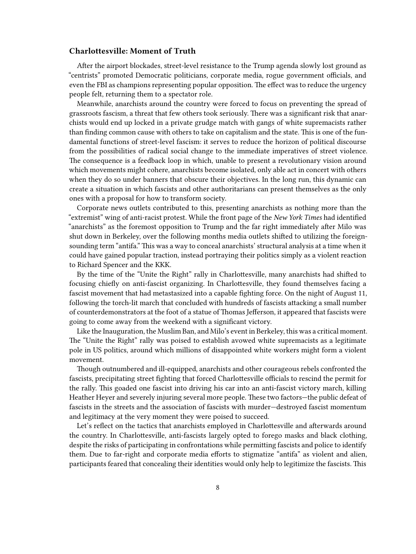#### <span id="page-7-0"></span>**Charlottesville: Moment of Truth**

After the airport blockades, street-level resistance to the Trump agenda slowly lost ground as "centrists" promoted Democratic politicians, corporate media, rogue government officials, and even the FBI as champions representing popular opposition. The effect was to reduce the urgency people felt, returning them to a spectator role.

Meanwhile, anarchists around the country were forced to focus on preventing the spread of grassroots fascism, a threat that few others took seriously. There was a significant risk that anarchists would end up locked in a private grudge match with gangs of white supremacists rather than finding common cause with others to take on capitalism and the state. This is one of the fundamental functions of street-level fascism: it serves to reduce the horizon of political discourse from the possibilities of radical social change to the immediate imperatives of street violence. The consequence is a feedback loop in which, unable to present a revolutionary vision around which movements might cohere, anarchists become isolated, only able act in concert with others when they do so under banners that obscure their objectives. In the long run, this dynamic can create a situation in which fascists and other authoritarians can present themselves as the only ones with a proposal for how to transform society.

Corporate news outlets contributed to this, presenting anarchists as nothing more than the "extremist" wing of anti-racist protest. While the front page of the *New York Times* had identified "anarchists" as the foremost opposition to Trump and the far right immediately after Milo was shut down in Berkeley, over the following months media outlets shifted to utilizing the foreignsounding term "antifa." This was a way to conceal anarchists' structural analysis at a time when it could have gained popular traction, instead portraying their politics simply as a violent reaction to Richard Spencer and the KKK.

By the time of the "Unite the Right" rally in Charlottesville, many anarchists had shifted to focusing chiefly on anti-fascist organizing. In Charlottesville, they found themselves facing a fascist movement that had metastasized into a capable fighting force. On the night of August 11, following the torch-lit march that concluded with hundreds of fascists attacking a small number of counterdemonstrators at the foot of a statue of Thomas Jefferson, it appeared that fascists were going to come away from the weekend with a significant victory.

Like the Inauguration, the Muslim Ban, and Milo's event in Berkeley, this was a critical moment. The "Unite the Right" rally was poised to establish avowed white supremacists as a legitimate pole in US politics, around which millions of disappointed white workers might form a violent movement.

Though outnumbered and ill-equipped, anarchists and other courageous rebels confronted the fascists, precipitating street fighting that forced Charlottesville officials to rescind the permit for the rally. This goaded one fascist into driving his car into an anti-fascist victory march, killing Heather Heyer and severely injuring several more people. These two factors—the public defeat of fascists in the streets and the association of fascists with murder—destroyed fascist momentum and legitimacy at the very moment they were poised to succeed.

Let's reflect on the tactics that anarchists employed in Charlottesville and afterwards around the country. In Charlottesville, anti-fascists largely opted to forego masks and black clothing, despite the risks of participating in confrontations while permitting fascists and police to identify them. Due to far-right and corporate media efforts to stigmatize "antifa" as violent and alien, participants feared that concealing their identities would only help to legitimize the fascists. This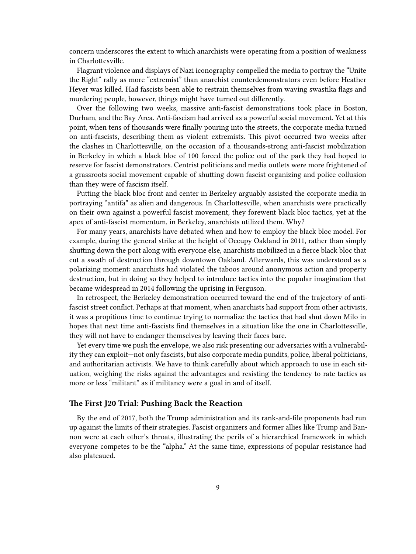concern underscores the extent to which anarchists were operating from a position of weakness in Charlottesville.

Flagrant violence and displays of Nazi iconography compelled the media to portray the "Unite the Right" rally as more "extremist" than anarchist counterdemonstrators even before Heather Heyer was killed. Had fascists been able to restrain themselves from waving swastika flags and murdering people, however, things might have turned out differently.

Over the following two weeks, massive anti-fascist demonstrations took place in Boston, Durham, and the Bay Area. Anti-fascism had arrived as a powerful social movement. Yet at this point, when tens of thousands were finally pouring into the streets, the corporate media turned on anti-fascists, describing them as violent extremists. This pivot occurred two weeks after the clashes in Charlottesville, on the occasion of a thousands-strong anti-fascist mobilization in Berkeley in which a black bloc of 100 forced the police out of the park they had hoped to reserve for fascist demonstrators. Centrist politicians and media outlets were more frightened of a grassroots social movement capable of shutting down fascist organizing and police collusion than they were of fascism itself.

Putting the black bloc front and center in Berkeley arguably assisted the corporate media in portraying "antifa" as alien and dangerous. In Charlottesville, when anarchists were practically on their own against a powerful fascist movement, they forewent black bloc tactics, yet at the apex of anti-fascist momentum, in Berkeley, anarchists utilized them. Why?

For many years, anarchists have debated when and how to employ the black bloc model. For example, during the general strike at the height of Occupy Oakland in 2011, rather than simply shutting down the port along with everyone else, anarchists mobilized in a fierce black bloc that cut a swath of destruction through downtown Oakland. Afterwards, this was understood as a polarizing moment: anarchists had violated the taboos around anonymous action and property destruction, but in doing so they helped to introduce tactics into the popular imagination that became widespread in 2014 following the uprising in Ferguson.

In retrospect, the Berkeley demonstration occurred toward the end of the trajectory of antifascist street conflict. Perhaps at that moment, when anarchists had support from other activists, it was a propitious time to continue trying to normalize the tactics that had shut down Milo in hopes that next time anti-fascists find themselves in a situation like the one in Charlottesville, they will not have to endanger themselves by leaving their faces bare.

Yet every time we push the envelope, we also risk presenting our adversaries with a vulnerability they can exploit—not only fascists, but also corporate media pundits, police, liberal politicians, and authoritarian activists. We have to think carefully about which approach to use in each situation, weighing the risks against the advantages and resisting the tendency to rate tactics as more or less "militant" as if militancy were a goal in and of itself.

#### <span id="page-8-0"></span>**The First J20 Trial: Pushing Back the Reaction**

By the end of 2017, both the Trump administration and its rank-and-file proponents had run up against the limits of their strategies. Fascist organizers and former allies like Trump and Bannon were at each other's throats, illustrating the perils of a hierarchical framework in which everyone competes to be the "alpha." At the same time, expressions of popular resistance had also plateaued.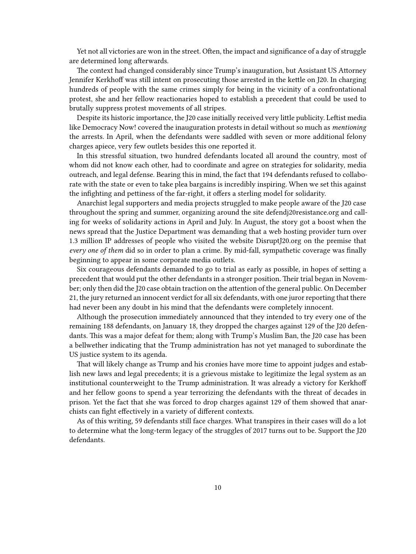Yet not all victories are won in the street. Often, the impact and significance of a day of struggle are determined long afterwards.

The context had changed considerably since Trump's inauguration, but Assistant US Attorney Jennifer Kerkhoff was still intent on prosecuting those arrested in the kettle on J20. In charging hundreds of people with the same crimes simply for being in the vicinity of a confrontational protest, she and her fellow reactionaries hoped to establish a precedent that could be used to brutally suppress protest movements of all stripes.

Despite its historic importance, the J20 case initially received very little publicity. Leftist media like Democracy Now! covered the inauguration protests in detail without so much as *mentioning* the arrests. In April, when the defendants were saddled with seven or more additional felony charges apiece, very few outlets besides this one reported it.

In this stressful situation, two hundred defendants located all around the country, most of whom did not know each other, had to coordinate and agree on strategies for solidarity, media outreach, and legal defense. Bearing this in mind, the fact that 194 defendants refused to collaborate with the state or even to take plea bargains is incredibly inspiring. When we set this against the infighting and pettiness of the far-right, it offers a sterling model for solidarity.

Anarchist legal supporters and media projects struggled to make people aware of the J20 case throughout the spring and summer, organizing around the site defendj20resistance.org and calling for weeks of solidarity actions in April and July. In August, the story got a boost when the news spread that the Justice Department was demanding that a web hosting provider turn over 1.3 million IP addresses of people who visited the website DisruptJ20.org on the premise that *every one of them* did so in order to plan a crime. By mid-fall, sympathetic coverage was finally beginning to appear in some corporate media outlets.

Six courageous defendants demanded to go to trial as early as possible, in hopes of setting a precedent that would put the other defendants in a stronger position. Their trial began in November; only then did the J20 case obtain traction on the attention of the general public. On December 21, the jury returned an innocent verdict for all six defendants, with one juror reporting that there had never been any doubt in his mind that the defendants were completely innocent.

Although the prosecution immediately announced that they intended to try every one of the remaining 188 defendants, on January 18, they dropped the charges against 129 of the J20 defendants. This was a major defeat for them; along with Trump's Muslim Ban, the J20 case has been a bellwether indicating that the Trump administration has not yet managed to subordinate the US justice system to its agenda.

That will likely change as Trump and his cronies have more time to appoint judges and establish new laws and legal precedents; it is a grievous mistake to legitimize the legal system as an institutional counterweight to the Trump administration. It was already a victory for Kerkhoff and her fellow goons to spend a year terrorizing the defendants with the threat of decades in prison. Yet the fact that she was forced to drop charges against 129 of them showed that anarchists can fight effectively in a variety of different contexts.

As of this writing, 59 defendants still face charges. What transpires in their cases will do a lot to determine what the long-term legacy of the struggles of 2017 turns out to be. Support the J20 defendants.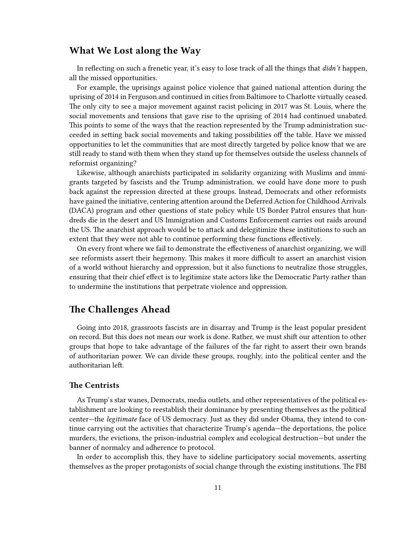### <span id="page-10-0"></span>**What We Lost along the Way**

In reflecting on such a frenetic year, it's easy to lose track of all the things that *didn't* happen, all the missed opportunities.

For example, the uprisings against police violence that gained national attention during the uprising of 2014 in Ferguson and continued in cities from Baltimore to Charlotte virtually ceased. The only city to see a major movement against racist policing in 2017 was St. Louis, where the social movements and tensions that gave rise to the uprising of 2014 had continued unabated. This points to some of the ways that the reaction represented by the Trump administration succeeded in setting back social movements and taking possibilities off the table. Have we missed opportunities to let the communities that are most directly targeted by police know that we are still ready to stand with them when they stand up for themselves outside the useless channels of reformist organizing?

Likewise, although anarchists participated in solidarity organizing with Muslims and immigrants targeted by fascists and the Trump administration, we could have done more to push back against the repression directed at these groups. Instead, Democrats and other reformists have gained the initiative, centering attention around the Deferred Action for Childhood Arrivals (DACA) program and other questions of state policy while US Border Patrol ensures that hundreds die in the desert and US Immigration and Customs Enforcement carries out raids around the US. The anarchist approach would be to attack and delegitimize these institutions to such an extent that they were not able to continue performing these functions effectively.

On every front where we fail to demonstrate the effectiveness of anarchist organizing, we will see reformists assert their hegemony. This makes it more difficult to assert an anarchist vision of a world without hierarchy and oppression, but it also functions to neutralize those struggles, ensuring that their chief effect is to legitimize state actors like the Democratic Party rather than to undermine the institutions that perpetrate violence and oppression.

## <span id="page-10-1"></span>**The Challenges Ahead**

Going into 2018, grassroots fascists are in disarray and Trump is the least popular president on record. But this does not mean our work is done. Rather, we must shift our attention to other groups that hope to take advantage of the failures of the far right to assert their own brands of authoritarian power. We can divide these groups, roughly, into the political center and the authoritarian left.

#### <span id="page-10-2"></span>**The Centrists**

As Trump's star wanes, Democrats, media outlets, and other representatives of the political establishment are looking to reestablish their dominance by presenting themselves as the political center—the *legitimate* face of US democracy. Just as they did under Obama, they intend to continue carrying out the activities that characterize Trump's agenda—the deportations, the police murders, the evictions, the prison-industrial complex and ecological destruction—but under the banner of normalcy and adherence to protocol.

In order to accomplish this, they have to sideline participatory social movements, asserting themselves as the proper protagonists of social change through the existing institutions. The FBI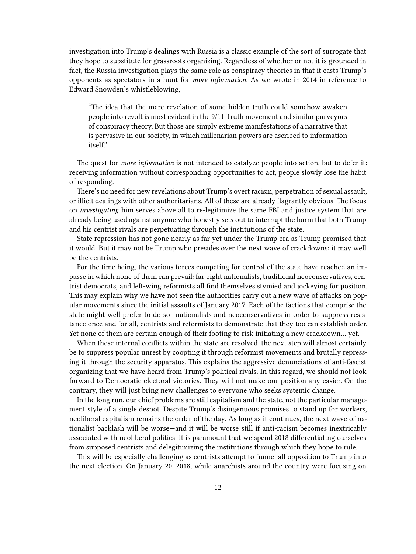investigation into Trump's dealings with Russia is a classic example of the sort of surrogate that they hope to substitute for grassroots organizing. Regardless of whether or not it is grounded in fact, the Russia investigation plays the same role as conspiracy theories in that it casts Trump's opponents as spectators in a hunt for *more information.* As we wrote in 2014 in reference to Edward Snowden's whistleblowing,

"The idea that the mere revelation of some hidden truth could somehow awaken people into revolt is most evident in the 9/11 Truth movement and similar purveyors of conspiracy theory. But those are simply extreme manifestations of a narrative that is pervasive in our society, in which millenarian powers are ascribed to information itself."

The quest for *more information* is not intended to catalyze people into action, but to defer it: receiving information without corresponding opportunities to act, people slowly lose the habit of responding.

There's no need for new revelations about Trump's overt racism, perpetration of sexual assault, or illicit dealings with other authoritarians. All of these are already flagrantly obvious. The focus on *investigating* him serves above all to re-legitimize the same FBI and justice system that are already being used against anyone who honestly sets out to interrupt the harm that both Trump and his centrist rivals are perpetuating through the institutions of the state.

State repression has not gone nearly as far yet under the Trump era as Trump promised that it would. But it may not be Trump who presides over the next wave of crackdowns: it may well be the centrists.

For the time being, the various forces competing for control of the state have reached an impasse in which none of them can prevail: far-right nationalists, traditional neoconservatives, centrist democrats, and left-wing reformists all find themselves stymied and jockeying for position. This may explain why we have not seen the authorities carry out a new wave of attacks on popular movements since the initial assaults of January 2017. Each of the factions that comprise the state might well prefer to do so—nationalists and neoconservatives in order to suppress resistance once and for all, centrists and reformists to demonstrate that they too can establish order. Yet none of them are certain enough of their footing to risk initiating a new crackdown… yet.

When these internal conflicts within the state are resolved, the next step will almost certainly be to suppress popular unrest by coopting it through reformist movements and brutally repressing it through the security apparatus. This explains the aggressive denunciations of anti-fascist organizing that we have heard from Trump's political rivals. In this regard, we should not look forward to Democratic electoral victories. They will not make our position any easier. On the contrary, they will just bring new challenges to everyone who seeks systemic change.

In the long run, our chief problems are still capitalism and the state, not the particular management style of a single despot. Despite Trump's disingenuous promises to stand up for workers, neoliberal capitalism remains the order of the day. As long as it continues, the next wave of nationalist backlash will be worse—and it will be worse still if anti-racism becomes inextricably associated with neoliberal politics. It is paramount that we spend 2018 differentiating ourselves from supposed centrists and delegitimizing the institutions through which they hope to rule.

This will be especially challenging as centrists attempt to funnel all opposition to Trump into the next election. On January 20, 2018, while anarchists around the country were focusing on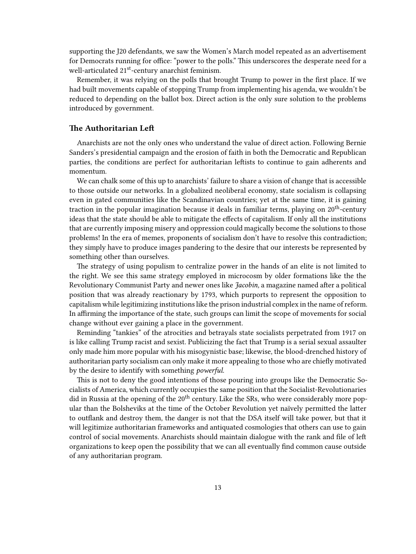supporting the J20 defendants, we saw the Women's March model repeated as an advertisement for Democrats running for office: "power to the polls." This underscores the desperate need for a well-articulated 21<sup>st</sup>-century anarchist feminism.

Remember, it was relying on the polls that brought Trump to power in the first place. If we had built movements capable of stopping Trump from implementing his agenda, we wouldn't be reduced to depending on the ballot box. Direct action is the only sure solution to the problems introduced by government.

#### <span id="page-12-0"></span>**The Authoritarian Left**

Anarchists are not the only ones who understand the value of direct action. Following Bernie Sanders's presidential campaign and the erosion of faith in both the Democratic and Republican parties, the conditions are perfect for authoritarian leftists to continue to gain adherents and momentum.

We can chalk some of this up to anarchists' failure to share a vision of change that is accessible to those outside our networks. In a globalized neoliberal economy, state socialism is collapsing even in gated communities like the Scandinavian countries; yet at the same time, it is gaining traction in the popular imagination because it deals in familiar terms, playing on 20<sup>th</sup>-century ideas that the state should be able to mitigate the effects of capitalism. If only all the institutions that are currently imposing misery and oppression could magically become the solutions to those problems! In the era of memes, proponents of socialism don't have to resolve this contradiction; they simply have to produce images pandering to the desire that our interests be represented by something other than ourselves.

The strategy of using populism to centralize power in the hands of an elite is not limited to the right. We see this same strategy employed in microcosm by older formations like the the Revolutionary Communist Party and newer ones like *Jacobin,* a magazine named after a political position that was already reactionary by 1793, which purports to represent the opposition to capitalism while legitimizing institutions like the prison industrial complex in the name of reform. In affirming the importance of the state, such groups can limit the scope of movements for social change without ever gaining a place in the government.

Reminding "tankies" of the atrocities and betrayals state socialists perpetrated from 1917 on is like calling Trump racist and sexist. Publicizing the fact that Trump is a serial sexual assaulter only made him more popular with his misogynistic base; likewise, the blood-drenched history of authoritarian party socialism can only make it more appealing to those who are chiefly motivated by the desire to identify with something *powerful.*

This is not to deny the good intentions of those pouring into groups like the Democratic Socialists of America, which currently occupies the same position that the Socialist-Revolutionaries did in Russia at the opening of the 20<sup>th</sup> century. Like the SRs, who were considerably more popular than the Bolsheviks at the time of the October Revolution yet naïvely permitted the latter to outflank and destroy them, the danger is not that the DSA itself will take power, but that it will legitimize authoritarian frameworks and antiquated cosmologies that others can use to gain control of social movements. Anarchists should maintain dialogue with the rank and file of left organizations to keep open the possibility that we can all eventually find common cause outside of any authoritarian program.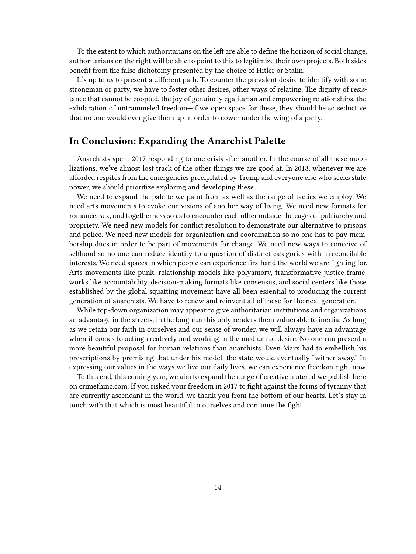To the extent to which authoritarians on the left are able to define the horizon of social change, authoritarians on the right will be able to point to this to legitimize their own projects. Both sides benefit from the false dichotomy presented by the choice of Hitler or Stalin.

It's up to us to present a different path. To counter the prevalent desire to identify with some strongman or party, we have to foster other desires, other ways of relating. The dignity of resistance that cannot be coopted, the joy of genuinely egalitarian and empowering relationships, the exhilaration of untrammeled freedom—if we open space for these, they should be so seductive that no one would ever give them up in order to cower under the wing of a party.

### <span id="page-13-0"></span>**In Conclusion: Expanding the Anarchist Palette**

Anarchists spent 2017 responding to one crisis after another. In the course of all these mobilizations, we've almost lost track of the other things we are good at. In 2018, whenever we are afforded respites from the emergencies precipitated by Trump and everyone else who seeks state power, we should prioritize exploring and developing these.

We need to expand the palette we paint from as well as the range of tactics we employ. We need arts movements to evoke our visions of another way of living. We need new formats for romance, sex, and togetherness so as to encounter each other outside the cages of patriarchy and propriety. We need new models for conflict resolution to demonstrate our alternative to prisons and police. We need new models for organization and coordination so no one has to pay membership dues in order to be part of movements for change. We need new ways to conceive of selfhood so no one can reduce identity to a question of distinct categories with irreconcilable interests. We need spaces in which people can experience firsthand the world we are fighting for. Arts movements like punk, relationship models like polyamory, transformative justice frameworks like accountability, decision-making formats like consensus, and social centers like those established by the global squatting movement have all been essential to producing the current generation of anarchists. We have to renew and reinvent all of these for the next generation.

While top-down organization may appear to give authoritarian institutions and organizations an advantage in the streets, in the long run this only renders them vulnerable to inertia. As long as we retain our faith in ourselves and our sense of wonder, we will always have an advantage when it comes to acting creatively and working in the medium of desire. No one can present a more beautiful proposal for human relations than anarchists. Even Marx had to embellish his prescriptions by promising that under his model, the state would eventually "wither away." In expressing our values in the ways we live our daily lives, we can experience freedom right now.

To this end, this coming year, we aim to expand the range of creative material we publish here on crimethinc.com. If you risked your freedom in 2017 to fight against the forms of tyranny that are currently ascendant in the world, we thank you from the bottom of our hearts. Let's stay in touch with that which is most beautiful in ourselves and continue the fight.